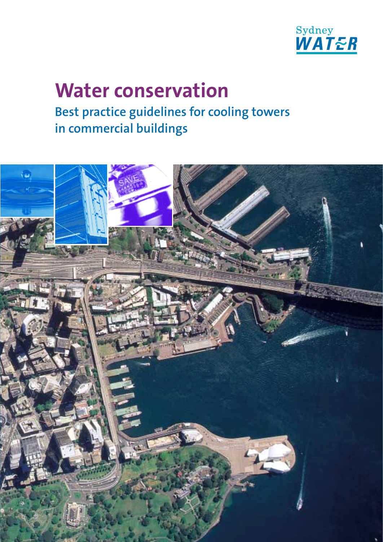

# **Water conservation Best practice guidelines for cooling towers in commercial buildings**

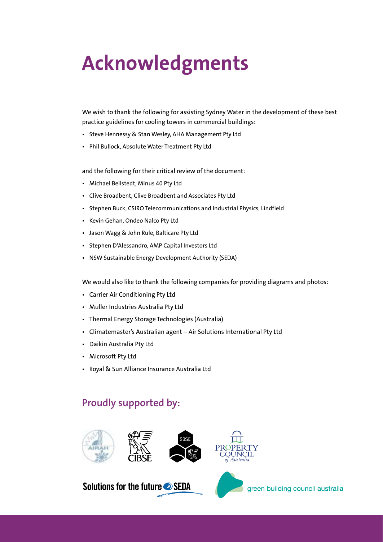# **Acknowledgments**

We wish to thank the following for assisting Sydney Water in the development of these best practice guidelines for cooling towers in commercial buildings:

- Steve Hennessy & Stan Wesley, AHA Management Pty Ltd
- Phil Bullock, Absolute Water Treatment Pty Ltd

and the following for their critical review of the document:

- Michael Bellstedt, Minus 40 Pty Ltd
- Clive Broadbent, Clive Broadbent and Associates Pty Ltd
- Stephen Buck, CSIRO Telecommunications and Industrial Physics, Lindfield
- Kevin Gehan, Ondeo Nalco Pty Ltd
- Jason Wagg & John Rule, Balticare Pty Ltd
- Stephen D'Alessandro, AMP Capital Investors Ltd
- NSW Sustainable Energy Development Authority (SEDA)

We would also like to thank the following companies for providing diagrams and photos:

- Carrier Air Conditioning Pty Ltd
- Muller Industries Australia Pty Ltd
- Thermal Energy Storage Technologies (Australia)
- Climatemaster's Australian agent Air Solutions International Pty Ltd
- Daikin Australia Pty Ltd
- Microsoft Pty Ltd
- Royal & Sun Alliance Insurance Australia Ltd

## **Proudly supported by:**



## Solutions for the future SEDA

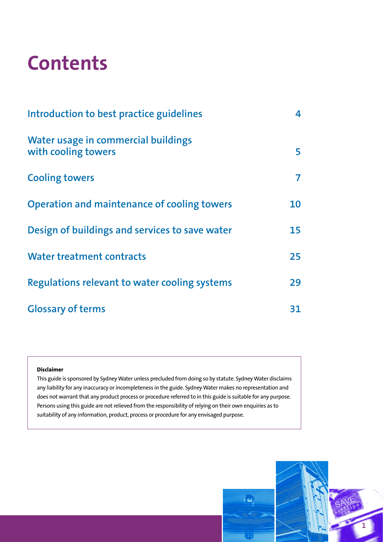# **Contents**

| Introduction to best practice guidelines                   | 4  |
|------------------------------------------------------------|----|
| Water usage in commercial buildings<br>with cooling towers | 5  |
| <b>Cooling towers</b>                                      | 7  |
| <b>Operation and maintenance of cooling towers</b>         | 10 |
| Design of buildings and services to save water             | 15 |
| <b>Water treatment contracts</b>                           | 25 |
| Regulations relevant to water cooling systems              | 29 |
| <b>Glossary of terms</b>                                   | 31 |

#### **Disclaimer**

This guide is sponsored by Sydney Water unless precluded from doing so by statute. Sydney Water disclaims any liability for any inaccuracy or incompleteness in the guide. Sydney Water makes no representation and does not warrant that any product process or procedure referred to in this guide is suitable for any purpose. Persons using this guide are not relieved from the responsibility of relying on their own enquiries as to suitability of any information, product, process or procedure for any envisaged purpose.

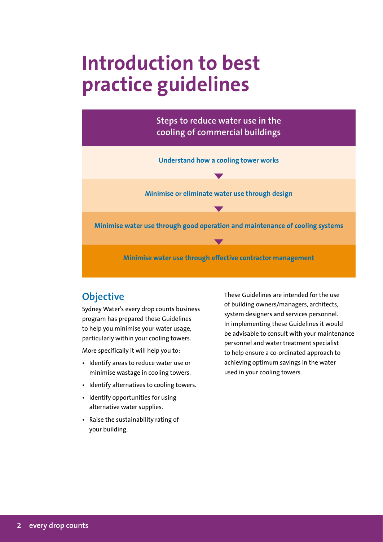# **Introduction to best practice guidelines**



## **Objective**

Sydney Water's every drop counts business program has prepared these Guidelines to help you minimise your water usage, particularly within your cooling towers.

More specifically it will help you to:

- Identify areas to reduce water use or minimise wastage in cooling towers.
- Identify alternatives to cooling towers.
- Identify opportunities for using alternative water supplies.
- Raise the sustainability rating of your building.

These Guidelines are intended for the use of building owners/managers, architects, system designers and services personnel. In implementing these Guidelines it would be advisable to consult with your maintenance personnel and water treatment specialist to help ensure a co-ordinated approach to achieving optimum savings in the water used in your cooling towers.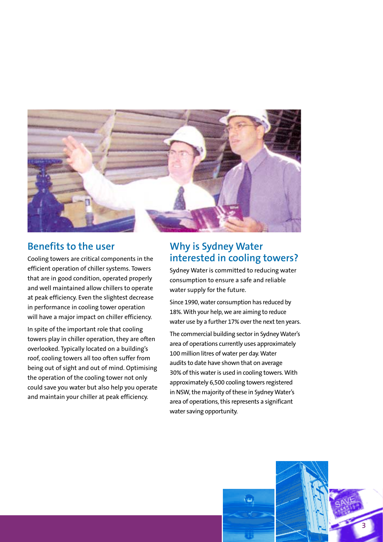

## **Benefits to the user**

Cooling towers are critical components in the efficient operation of chiller systems. Towers that are in good condition, operated properly and well maintained allow chillers to operate at peak efficiency. Even the slightest decrease in performance in cooling tower operation will have a major impact on chiller efficiency.

In spite of the important role that cooling towers play in chiller operation, they are often overlooked. Typically located on a building's roof, cooling towers all too often suffer from being out of sight and out of mind. Optimising the operation of the cooling tower not only could save you water but also help you operate and maintain your chiller at peak efficiency.

## **Why is Sydney Water interested in cooling towers?**

Sydney Water is committed to reducing water consumption to ensure a safe and reliable water supply for the future.

Since 1990, water consumption has reduced by 18%. With your help, we are aiming to reduce water use by a further 17% over the next ten years.

The commercial building sector in Sydney Water's area of operations currently uses approximately 100 million litres of water per day. Water audits to date have shown that on average 30% of this water is used in cooling towers. With approximately 6,500 cooling towers registered in NSW, the majority of these in Sydney Water's area of operations, this represents a significant water saving opportunity.

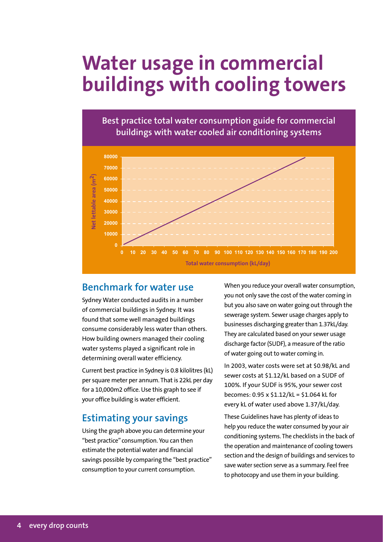# **Water usage in commercial buildings with cooling towers**





## **Benchmark for water use**

Sydney Water conducted audits in a number of commercial buildings in Sydney. It was found that some well managed buildings consume considerably less water than others. How building owners managed their cooling water systems played a significant role in determining overall water efficiency.

Current best practice in Sydney is 0.8 kilolitres (kL) per square meter per annum. That is 22kL per day for a 10,000m2 office. Use this graph to see if your office building is water efficient.

## **Estimating your savings**

Using the graph above you can determine your "best practice" consumption. You can then estimate the potential water and financial savings possible by comparing the "best practice" consumption to your current consumption.

When you reduce your overall water consumption, you not only save the cost of the water coming in but you also save on water going out through the sewerage system. Sewer usage charges apply to businesses discharging greater than 1.37kL/day. They are calculated based on your sewer usage discharge factor (SUDF), a measure of the ratio of water going out to water coming in.

In 2003, water costs were set at \$0.98/kL and sewer costs at \$1.12/kL based on a SUDF of 100%. If your SUDF is 95%, your sewer cost becomes: 0.95 x \$1.12/kL = \$1.064 kL for every kL of water used above 1.37/kL/day.

These Guidelines have has plenty of ideas to help you reduce the water consumed by your air conditioning systems. The checklists in the back of the operation and maintenance of cooling towers section and the design of buildings and services to save water section serve as a summary. Feel free to photocopy and use them in your building.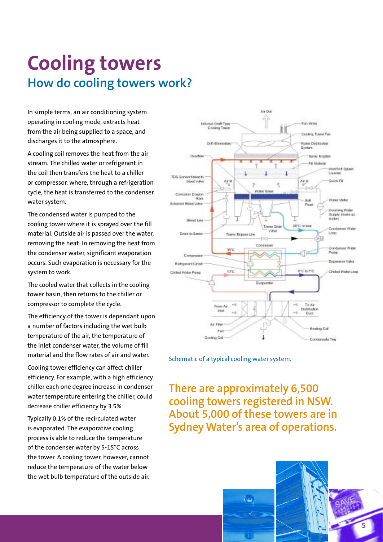# **Cooling towers How do cooling towers work?**

In simple terms, an air conditioning system operating in cooling mode, extracts heat from the air being supplied to a space, and discharges it to the atmosphere.

A cooling coil removes the heat from the air stream. The chilled water or refrigerant in the coil then transfers the heat to a chiller or compressor, where, through a refrigeration cycle, the heat is transferred to the condenser water system.

The condensed water is pumped to the cooling tower where it is sprayed over the fill material. Outside air is passed over the water, removing the heat. In removing the heat from the condenser water, significant evaporation occurs. Such evaporation is necessary for the system to work.

The cooled water that collects in the cooling tower basin, then returns to the chiller or compressor to complete the cycle.

The efficiency of the tower is dependant upon a number of factors including the wet bulb temperature of the air, the temperature of the inlet condenser water, the volume of fill material and the flow rates of air and water.

Cooling tower efficiency can affect chiller efficiency. For example, with a high efficiency chiller each one degree increase in condenser water temperature entering the chiller, could decrease chiller efficiency by 3.5%

Typically 0.1% of the recirculated water is evaporated. The evaporative cooling process is able to reduce the temperature of the condenser water by 5-15°C across the tower. A cooling tower, however, cannot reduce the temperature of the water below the wet bulb temperature of the outside air.



Schematic of a typical cooling water system.

**There are approximately 6,500 cooling towers registered in NSW. About 5,000 of these towers are in Sydney Water's area of operations.**

îш,

**5**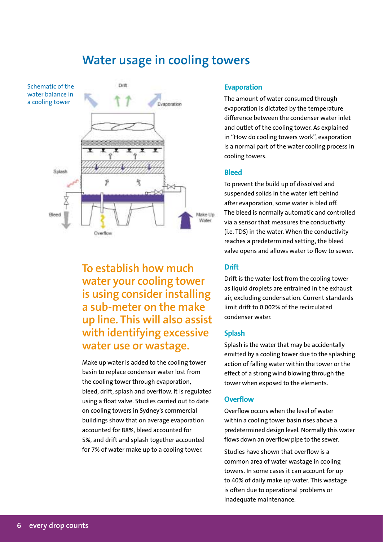# **Water usage in cooling towers**



**To establish how much water your cooling tower is using consider installing a sub-meter on the make up line. This will also assist with identifying excessive water use or wastage.**

Make up water is added to the cooling tower basin to replace condenser water lost from the cooling tower through evaporation, bleed, drift, splash and overflow. It is regulated using a float valve. Studies carried out to date on cooling towers in Sydney's commercial buildings show that on average evaporation accounted for 88%, bleed accounted for 5%, and drift and splash together accounted for 7% of water make up to a cooling tower.

#### **Evaporation**

The amount of water consumed through evaporation is dictated by the temperature difference between the condenser water inlet and outlet of the cooling tower. As explained in "How do cooling towers work", evaporation is a normal part of the water cooling process in cooling towers.

#### **Bleed**

To prevent the build up of dissolved and suspended solids in the water left behind after evaporation, some water is bled off. The bleed is normally automatic and controlled via a sensor that measures the conductivity (i.e. TDS) in the water. When the conductivity reaches a predetermined setting, the bleed valve opens and allows water to flow to sewer.

#### **Drift**

Drift is the water lost from the cooling tower as liquid droplets are entrained in the exhaust air, excluding condensation. Current standards limit drift to 0.002% of the recirculated condenser water.

#### **Splash**

Splash is the water that may be accidentally emitted by a cooling tower due to the splashing action of falling water within the tower or the effect of a strong wind blowing through the tower when exposed to the elements.

#### **Overflow**

Overflow occurs when the level of water within a cooling tower basin rises above a predetermined design level. Normally this water flows down an overflow pipe to the sewer.

Studies have shown that overflow is a common area of water wastage in cooling towers. In some cases it can account for up to 40% of daily make up water. This wastage is often due to operational problems or inadequate maintenance.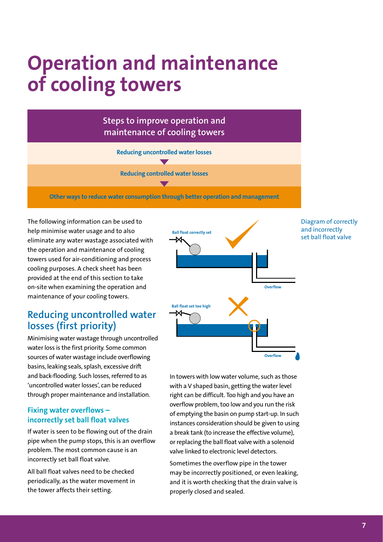# **Operation and maintenance of cooling towers**

**Steps to improve operation and maintenance of cooling towers**

**Reducing uncontrolled water losses**

**Reducing controlled water losses**

**Other ways to reduce water consumption through better operation and management**

The following information can be used to help minimise water usage and to also eliminate any water wastage associated with the operation and maintenance of cooling towers used for air-conditioning and process cooling purposes. A check sheet has been provided at the end of this section to take on-site when examining the operation and maintenance of your cooling towers.

## **Reducing uncontrolled water losses (first priority)**

Minimising water wastage through uncontrolled water loss is the first priority. Some common sources of water wastage include overflowing basins, leaking seals, splash, excessive drift and back-flooding. Such losses, referred to as 'uncontrolled water losses', can be reduced through proper maintenance and installation.

### **Fixing water overflows – incorrectly set ball float valves**

If water is seen to be flowing out of the drain pipe when the pump stops, this is an overflow problem. The most common cause is an incorrectly set ball float valve.

All ball float valves need to be checked periodically, as the water movement in the tower affects their setting.



Diagram of correctly and incorrectly set ball float valve

In towers with low water volume, such as those with a V shaped basin, getting the water level right can be difficult. Too high and you have an overflow problem, too low and you run the risk of emptying the basin on pump start-up. In such instances consideration should be given to using a break tank (to increase the effective volume), or replacing the ball float valve with a solenoid valve linked to electronic level detectors.

Sometimes the overflow pipe in the tower may be incorrectly positioned, or even leaking, and it is worth checking that the drain valve is properly closed and sealed.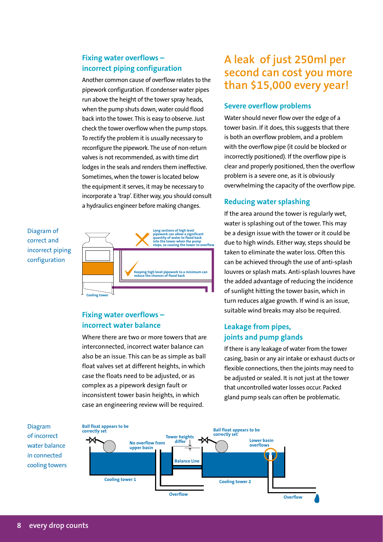## **Fixing water overflows – incorrect piping configuration**

Another common cause of overflow relates to the pipework configuration. If condenser water pipes run above the height of the tower spray heads, when the pump shuts down, water could flood back into the tower. This is easy to observe. Just check the tower overflow when the pump stops. To rectify the problem it is usually necessary to reconfigure the pipework. The use of non-return valves is not recommended, as with time dirt lodges in the seals and renders them ineffective. Sometimes, when the tower is located below the equipment it serves, it may be necessary to incorporate a 'trap'. Either way, you should consult a hydraulics engineer before making changes.

## Diagram of correct and incorrect piping configuration



## **Fixing water overflows – incorrect water balance**

Where there are two or more towers that are interconnected, incorrect water balance can also be an issue. This can be as simple as ball float valves set at different heights, in which case the floats need to be adjusted, or as complex as a pipework design fault or inconsistent tower basin heights, in which case an engineering review will be required.

# **A leak of just 250ml per second can cost you more than \$15,000 every year!**

## **Severe overflow problems**

Water should never flow over the edge of a tower basin. If it does, this suggests that there is both an overflow problem, and a problem with the overflow pipe (it could be blocked or incorrectly positioned). If the overflow pipe is clear and properly positioned, then the overflow problem is a severe one, as it is obviously overwhelming the capacity of the overflow pipe.

## **Reducing water splashing**

If the area around the tower is regularly wet, water is splashing out of the tower. This may be a design issue with the tower or it could be due to high winds. Either way, steps should be taken to eliminate the water loss. Often this can be achieved through the use of anti-splash louvres or splash mats. Anti-splash louvres have the added advantage of reducing the incidence of sunlight hitting the tower basin, which in turn reduces algae growth. If wind is an issue, suitable wind breaks may also be required.

## **Leakage from pipes, joints and pump glands**

If there is any leakage of water from the tower casing, basin or any air intake or exhaust ducts or flexible connections, then the joints may need to be adjusted or sealed. It is not just at the tower that uncontrolled water losses occur. Packed gland pump seals can often be problematic.



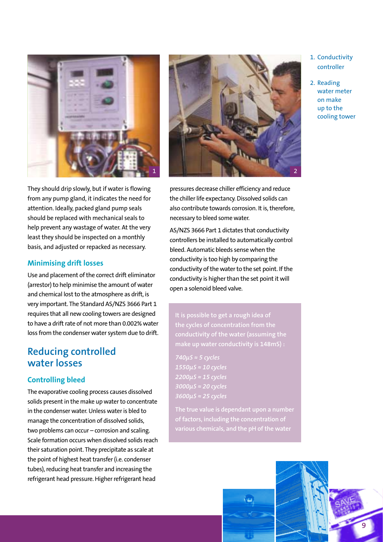



### **Minimising drift losses**

Use and placement of the correct drift eliminator (arrestor) to help minimise the amount of water and chemical lost to the atmosphere as drift, is very important. The Standard AS/NZS 3666 Part 1 requires that all new cooling towers are designed to have a drift rate of not more than 0.002% water loss from the condenser water system due to drift.

## **Reducing controlled water losses**

## **Controlling bleed**

The evaporative cooling process causes dissolved solids present in the make up water to concentrate in the condenser water. Unless water is bled to manage the concentration of dissolved solids, two problems can occur – corrosion and scaling. Scale formation occurs when dissolved solids reach their saturation point. They precipitate as scale at the point of highest heat transfer (i.e. condenser tubes), reducing heat transfer and increasing the refrigerant head pressure. Higher refrigerant head



pressures decrease chiller efficiency and reduce the chiller life expectancy. Dissolved solids can also contribute towards corrosion. It is, therefore, necessary to bleed some water.

AS/NZS 3666 Part 1 dictates that conductivity controllers be installed to automatically control bleed. Automatic bleeds sense when the conductivity is too high by comparing the conductivity of the water to the set point. If the conductivity is higher than the set point it will open a solenoid bleed valve.

**It is possible to get a rough idea of the cycles of concentration from the conductivity of the water (assuming the make up water conductivity is 148mS) :**

*740µS ≈ 5 cycles 1550µS ≈ 10 cycles 2200µS ≈ 15 cycles 3000µS ≈ 20 cycles 3600µS ≈ 25 cycles*

**The true value is dependant upon a number of factors, including the concentration of various chemicals, and the pH of the water**





2. Reading water meter on make up to the cooling tower

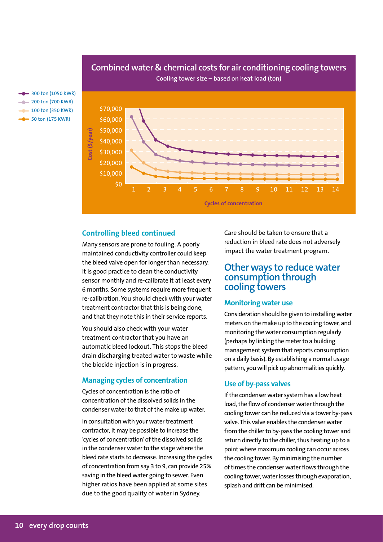

## **Combined water & chemical costs for air conditioning cooling towers Cooling tower size – based on heat load (ton)**

**300 ton (1050 KWR)**  $-$  200 ton (700 KWR)  $-$  100 ton (350 KWR)  $-50$  ton (175 KWR)

#### **Controlling bleed continued**

Many sensors are prone to fouling. A poorly maintained conductivity controller could keep the bleed valve open for longer than necessary. It is good practice to clean the conductivity sensor monthly and re-calibrate it at least every 6 months. Some systems require more frequent re-calibration. You should check with your water treatment contractor that this is being done, and that they note this in their service reports.

You should also check with your water treatment contractor that you have an automatic bleed lockout. This stops the bleed drain discharging treated water to waste while the biocide injection is in progress.

### **Managing cycles of concentration**

Cycles of concentration is the ratio of concentration of the dissolved solids in the condenser water to that of the make up water.

In consultation with your water treatment contractor, it may be possible to increase the 'cycles of concentration' of the dissolved solids in the condenser water to the stage where the bleed rate starts to decrease. Increasing the cycles of concentration from say 3 to 9, can provide 25% saving in the bleed water going to sewer. Even higher ratios have been applied at some sites due to the good quality of water in Sydney.

Care should be taken to ensure that a reduction in bleed rate does not adversely impact the water treatment program.

## **Other ways to reduce water consumption through cooling towers**

#### **Monitoring water use**

Consideration should be given to installing water meters on the make up to the cooling tower, and monitoring the water consumption regularly (perhaps by linking the meter to a building management system that reports consumption on a daily basis). By establishing a normal usage pattern, you will pick up abnormalities quickly.

#### **Use of by-pass valves**

If the condenser water system has a low heat load, the flow of condenser water through the cooling tower can be reduced via a tower by-pass valve. This valve enables the condenser water from the chiller to by-pass the cooling tower and return directly to the chiller, thus heating up to a point where maximum cooling can occur across the cooling tower. By minimising the number of times the condenser water flows through the cooling tower, water losses through evaporation, splash and drift can be minimised.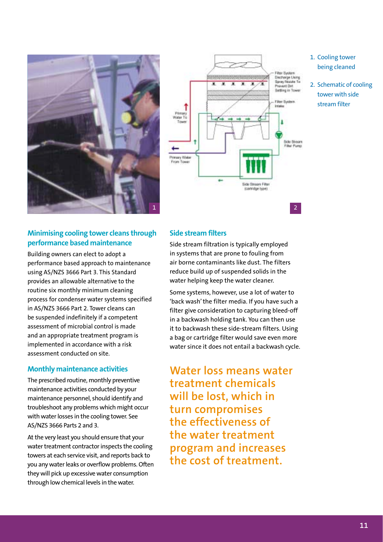



## 1. Cooling tower being cleaned

2. Schematic of cooling tower with side stream filter

## **Minimising cooling tower cleans through performance based maintenance**

Building owners can elect to adopt a performance based approach to maintenance using AS/NZS 3666 Part 3. This Standard provides an allowable alternative to the routine six monthly minimum cleaning process for condenser water systems specified in AS/NZS 3666 Part 2. Tower cleans can be suspended indefinitely if a competent assessment of microbial control is made and an appropriate treatment program is implemented in accordance with a risk assessment conducted on site.

### **Monthly maintenance activities**

The prescribed routine, monthly preventive maintenance activities conducted by your maintenance personnel, should identify and troubleshoot any problems which might occur with water losses in the cooling tower. See AS/NZS 3666 Parts 2 and 3.

At the very least you should ensure that your water treatment contractor inspects the cooling towers at each service visit, and reports back to you any water leaks or overflow problems. Often they will pick up excessive water consumption through low chemical levels in the water.

### **Side stream filters**

Side stream filtration is typically employed in systems that are prone to fouling from air borne contaminants like dust. The filters reduce build up of suspended solids in the water helping keep the water cleaner.

Some systems, however, use a lot of water to 'back wash' the filter media. If you have such a filter give consideration to capturing bleed-off in a backwash holding tank. You can then use it to backwash these side-stream filters. Using a bag or cartridge filter would save even more water since it does not entail a backwash cycle.

**Water loss means water treatment chemicals will be lost, which in turn compromises the effectiveness of the water treatment program and increases the cost of treatment.**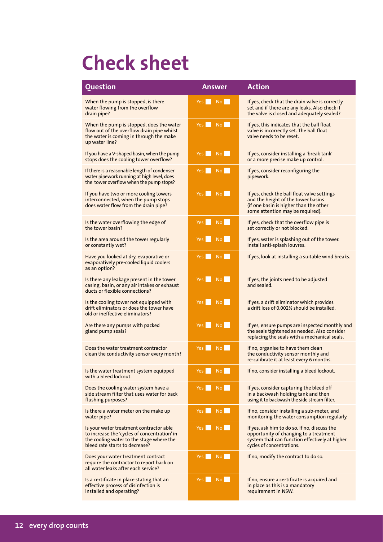# **Check sheet**

| <b>Question</b>                                                                                                                                                       | <b>Answer</b>                 | <b>Action</b>                                                                                                                                                         |
|-----------------------------------------------------------------------------------------------------------------------------------------------------------------------|-------------------------------|-----------------------------------------------------------------------------------------------------------------------------------------------------------------------|
| When the pump is stopped, is there<br>water flowing from the overflow<br>drain pipe?                                                                                  | <b>No</b><br>Yes I            | If yes, check that the drain valve is correctly<br>set and if there are any leaks. Also check if<br>the valve is closed and adequately sealed?                        |
| When the pump is stopped, does the water<br>flow out of the overflow drain pipe whilst<br>the water is coming in through the make<br>up water line?                   | No  <br>Yes I                 | If yes, this indicates that the ball float<br>valve is incorrectly set. The ball float<br>valve needs to be reset.                                                    |
| If you have a V-shaped basin, when the pump<br>stops does the cooling tower overflow?                                                                                 | No II<br>Yes                  | If yes, consider installing a 'break tank'<br>or a more precise make up control.                                                                                      |
| If there is a reasonable length of condenser<br>water pipework running at high level, does<br>the tower overflow when the pump stops?                                 | $Y$ es<br><b>No</b>           | If yes, consider reconfiguring the<br>pipework.                                                                                                                       |
| If you have two or more cooling towers<br>interconnected, when the pump stops<br>does water flow from the drain pipe?                                                 | No<br>Yes                     | If yes, check the ball float valve settings<br>and the height of the tower basins<br>(if one basin is higher than the other<br>some attention may be required).       |
| Is the water overflowing the edge of<br>the tower basin?                                                                                                              | <b>No</b><br>Yes              | If yes, check that the overflow pipe is<br>set correctly or not blocked.                                                                                              |
| Is the area around the tower regularly<br>or constantly wet?                                                                                                          | No<br>Yes <b>No. 1</b>        | If yes, water is splashing out of the tower.<br>Install anti-splash louvres.                                                                                          |
| Have you looked at dry, evaporative or<br>evaporatively pre-cooled liquid coolers<br>as an option?                                                                    | <b>No</b><br>Yes              | If yes, look at installing a suitable wind breaks.                                                                                                                    |
| Is there any leakage present in the tower<br>casing, basin, or any air intakes or exhaust<br>ducts or flexible connections?                                           | Yes No                        | If yes, the joints need to be adjusted<br>and sealed.                                                                                                                 |
| Is the cooling tower not equipped with<br>drift eliminators or does the tower have<br>old or ineffective eliminators?                                                 | Yes No                        | If yes, a drift eliminator which provides<br>a drift loss of 0.002% should be installed.                                                                              |
| Are there any pumps with packed<br>gland pump seals?                                                                                                                  | Yes I<br>No                   | If yes, ensure pumps are inspected monthly and<br>the seals tightened as needed. Also consider<br>replacing the seals with a mechanical seals.                        |
| Does the water treatment contractor<br>clean the conductivity sensor every month?                                                                                     | No.<br>Yes I                  | If no, organise to have them clean<br>the conductivity sensor monthly and<br>re-calibrate it at least every 6 months.                                                 |
| Is the water treatment system equipped<br>with a bleed lockout.                                                                                                       | Yes<br>No.                    | If no, consider installing a bleed lockout.                                                                                                                           |
| Does the cooling water system have a<br>side stream filter that uses water for back<br>flushing purposes?                                                             | Yes <b>No</b><br>No <b>No</b> | If yes, consider capturing the bleed off<br>in a backwash holding tank and then<br>using it to backwash the side stream filter.                                       |
| Is there a water meter on the make up<br>water pipe?                                                                                                                  | No<br>Yes <b>No</b>           | If no, consider installing a sub-meter, and<br>monitoring the water consumption regularly.                                                                            |
| Is your water treatment contractor able<br>to increase the 'cycles of concentration' in<br>the cooling water to the stage where the<br>bleed rate starts to decrease? | <b>No</b><br>Yes <b>No</b>    | If yes, ask him to do so. If no, discuss the<br>opportunity of changing to a treatment<br>system that can function effectively at higher<br>cycles of concentrations. |
| Does your water treatment contract<br>require the contractor to report back on<br>all water leaks after each service?                                                 | No l<br>Yes                   | If no, modify the contract to do so.                                                                                                                                  |
| Is a certificate in place stating that an<br>effective process of disinfection is<br>installed and operating?                                                         | No<br>Yes                     | If no, ensure a certificate is acquired and<br>in place as this is a mandatory<br>requirement in NSW.                                                                 |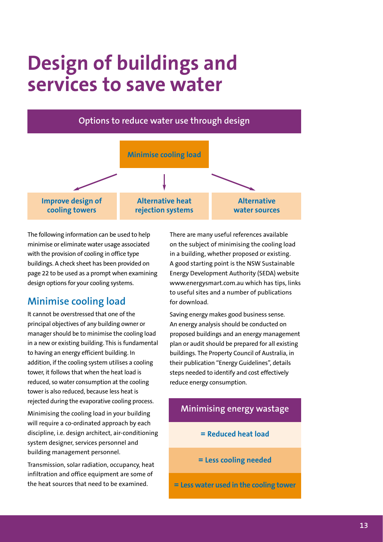# **Design of buildings and services to save water**



The following information can be used to help minimise or eliminate water usage associated with the provision of cooling in office type buildings. A check sheet has been provided on page 22 to be used as a prompt when examining design options for your cooling systems.

## **Minimise cooling load**

It cannot be overstressed that one of the principal objectives of any building owner or manager should be to minimise the cooling load in a new or existing building. This is fundamental to having an energy efficient building. In addition, if the cooling system utilises a cooling tower, it follows that when the heat load is reduced, so water consumption at the cooling tower is also reduced, because less heat is rejected during the evaporative cooling process.

Minimising the cooling load in your building will require a co-ordinated approach by each discipline, i.e. design architect, air-conditioning system designer, services personnel and building management personnel.

Transmission, solar radiation, occupancy, heat infiltration and office equipment are some of the heat sources that need to be examined.

There are many useful references available on the subject of minimising the cooling load in a building, whether proposed or existing. A good starting point is the NSW Sustainable Energy Development Authority (SEDA) website www.energysmart.com.au which has tips, links to useful sites and a number of publications for download.

Saving energy makes good business sense. An energy analysis should be conducted on proposed buildings and an energy management plan or audit should be prepared for all existing buildings. The Property Council of Australia, in their publication "Energy Guidelines", details steps needed to identify and cost effectively reduce energy consumption.

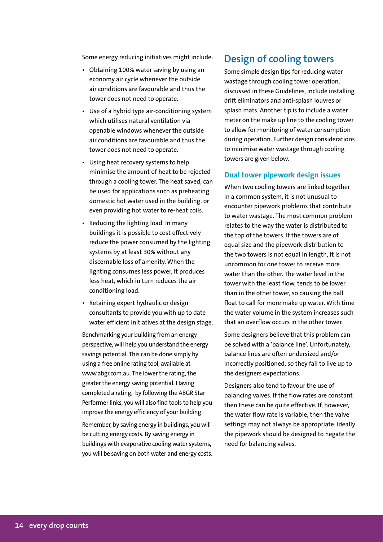Some energy reducing initiatives might include:

- Obtaining 100% water saving by using an economy air cycle whenever the outside air conditions are favourable and thus the tower does not need to operate.
- Use of a hybrid type air-conditioning system which utilises natural ventilation via openable windows whenever the outside air conditions are favourable and thus the tower does not need to operate.
- Using heat recovery systems to help minimise the amount of heat to be rejected through a cooling tower. The heat saved, can be used for applications such as preheating domestic hot water used in the building, or even providing hot water to re-heat coils.
- Reducing the lighting load. In many buildings it is possible to cost effectively reduce the power consumed by the lighting systems by at least 30% without any discernable loss of amenity. When the lighting consumes less power, it produces less heat, which in turn reduces the air conditioning load.
- Retaining expert hydraulic or design consultants to provide you with up to date water efficient initiatives at the design stage.

Benchmarking your building from an energy perspective, will help you understand the energy savings potential. This can be done simply by using a free online rating tool, available at www.abgr.com.au. The lower the rating, the greater the energy saving potential. Having completed a rating, by following the ABGR Star Performer links, you will also find tools to help you improve the energy efficiency of your building.

Remember, by saving energy in buildings, you will be cutting energy costs. By saving energy in buildings with evaporative cooling water systems, you will be saving on both water and energy costs.

## **Design of cooling towers**

Some simple design tips for reducing water wastage through cooling tower operation, discussed in these Guidelines, include installing drift eliminators and anti-splash louvres or splash mats. Another tip is to include a water meter on the make up line to the cooling tower to allow for monitoring of water consumption during operation. Further design considerations to minimise water wastage through cooling towers are given below.

#### **Dual tower pipework design issues**

When two cooling towers are linked together in a common system, it is not unusual to encounter pipework problems that contribute to water wastage. The most common problem relates to the way the water is distributed to the top of the towers. If the towers are of equal size and the pipework distribution to the two towers is not equal in length, it is not uncommon for one tower to receive more water than the other. The water level in the tower with the least flow, tends to be lower than in the other tower, so causing the ball float to call for more make up water. With time the water volume in the system increases such that an overflow occurs in the other tower.

Some designers believe that this problem can be solved with a 'balance line'. Unfortunately, balance lines are often undersized and/or incorrectly positioned, so they fail to live up to the designers expectations.

Designers also tend to favour the use of balancing valves. If the flow rates are constant then these can be quite effective. If, however, the water flow rate is variable, then the valve settings may not always be appropriate. Ideally the pipework should be designed to negate the need for balancing valves.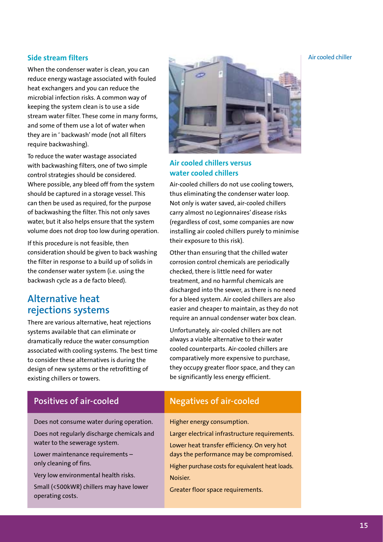When the condenser water is clean, you can reduce energy wastage associated with fouled heat exchangers and you can reduce the microbial infection risks. A common way of keeping the system clean is to use a side stream water filter. These come in many forms, and some of them use a lot of water when they are in ' backwash' mode (not all filters require backwashing).

To reduce the water wastage associated with backwashing filters, one of two simple control strategies should be considered. Where possible, any bleed off from the system should be captured in a storage vessel. This can then be used as required, for the purpose of backwashing the filter. This not only saves water, but it also helps ensure that the system volume does not drop too low during operation.

If this procedure is not feasible, then consideration should be given to back washing the filter in response to a build up of solids in the condenser water system (i.e. using the backwash cycle as a de facto bleed).

## **Alternative heat rejections systems**

There are various alternative, heat rejections systems available that can eliminate or dramatically reduce the water consumption associated with cooling systems. The best time to consider these alternatives is during the design of new systems or the retrofitting of existing chillers or towers.



## **Air cooled chillers versus water cooled chillers**

Air-cooled chillers do not use cooling towers, thus eliminating the condenser water loop. Not only is water saved, air-cooled chillers carry almost no Legionnaires' disease risks (regardless of cost, some companies are now installing air cooled chillers purely to minimise their exposure to this risk).

Other than ensuring that the chilled water corrosion control chemicals are periodically checked, there is little need for water treatment, and no harmful chemicals are discharged into the sewer, as there is no need for a bleed system. Air cooled chillers are also easier and cheaper to maintain, as they do not require an annual condenser water box clean.

Unfortunately, air-cooled chillers are not always a viable alternative to their water cooled counterparts. Air-cooled chillers are comparatively more expensive to purchase, they occupy greater floor space, and they can be significantly less energy efficient.

#### Positives of air-cooled **Negatives of air-cooled** Does not consume water during operation. Does not regularly discharge chemicals and water to the sewerage system. Lower maintenance requirements – only cleaning of fins. Very low environmental health risks. Small (<500kWR) chillers may have lower operating costs. Higher energy consumption. Larger electrical infrastructure requirements. Lower heat transfer efficiency. On very hot days the performance may be compromised. Higher purchase costs for equivalent heat loads. Noisier. Greater floor space requirements.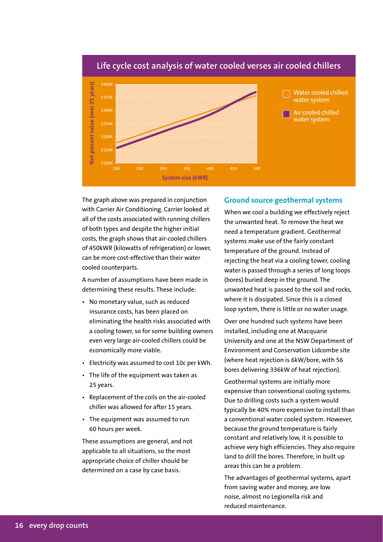

#### **Life cycle cost analysis of water cooled verses air cooled chillers**

The graph above was prepared in conjunction with Carrier Air Conditioning. Carrier looked at all of the costs associated with running chillers of both types and despite the higher initial costs, the graph shows that air-cooled chillers of 450kWR (kilowatts of refrigeration) or lower, can be more cost-effective than their water cooled counterparts.

A number of assumptions have been made in determining these results. These include:

- No monetary value, such as reduced insurance costs, has been placed on eliminating the health risks associated with a cooling tower, so for some building owners even very large air-cooled chillers could be economically more viable.
- Electricity was assumed to cost 10c per kWh.
- The life of the equipment was taken as 25 years.
- Replacement of the coils on the air-cooled chiller was allowed for after 15 years.
- The equipment was assumed to run 60 hours per week.

These assumptions are general, and not applicable to all situations, so the most appropriate choice of chiller should be determined on a case by case basis.

#### **Ground source geothermal systems**

When we cool a building we effectively reject the unwanted heat. To remove the heat we need a temperature gradient. Geothermal systems make use of the fairly constant temperature of the ground. Instead of rejecting the heat via a cooling tower, cooling water is passed through a series of long loops (bores) buried deep in the ground. The unwanted heat is passed to the soil and rocks, where it is dissipated. Since this is a closed loop system, there is little or no water usage.

Over one hundred such systems have been installed, including one at Macquarie University and one at the NSW Department of Environment and Conservation Lidcombe site (where heat rejection is 6kW/bore, with 56 bores delivering 336kW of heat rejection).

Geothermal systems are initially more expensive than conventional cooling systems. Due to drilling costs such a system would typically be 40% more expensive to install than a conventional water cooled system. However, because the ground temperature is fairly constant and relatively low, it is possible to achieve very high efficiencies. They also require land to drill the bores. Therefore, in built up areas this can be a problem.

The advantages of geothermal systems, apart from saving water and money, are low noise, almost no Legionella risk and reduced maintenance.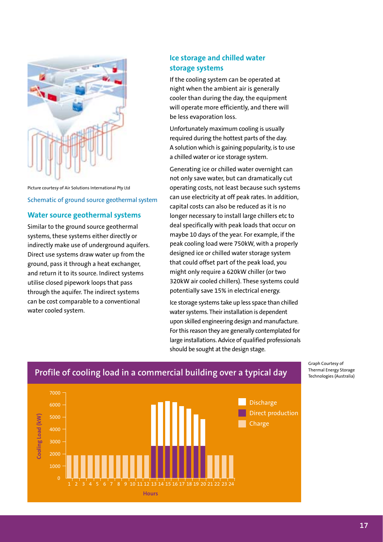

Picture courtesy of Air Solutions International Pty Ltd Schematic of ground source geothermal system

## **Water source geothermal systems**

Similar to the ground source geothermal systems, these systems either directly or indirectly make use of underground aquifers. Direct use systems draw water up from the ground, pass it through a heat exchanger, and return it to its source. Indirect systems utilise closed pipework loops that pass through the aquifer. The indirect systems can be cost comparable to a conventional water cooled system.

## **Ice storage and chilled water storage systems**

If the cooling system can be operated at night when the ambient air is generally cooler than during the day, the equipment will operate more efficiently, and there will be less evaporation loss.

Unfortunately maximum cooling is usually required during the hottest parts of the day. A solution which is gaining popularity, is to use a chilled water or ice storage system.

Generating ice or chilled water overnight can not only save water, but can dramatically cut operating costs, not least because such systems can use electricity at off peak rates. In addition, capital costs can also be reduced as it is no longer necessary to install large chillers etc to deal specifically with peak loads that occur on maybe 10 days of the year. For example, if the peak cooling load were 750kW, with a properly designed ice or chilled water storage system that could offset part of the peak load, you might only require a 620kW chiller (or two 320kW air cooled chillers). These systems could potentially save 15% in electrical energy.

Ice storage systems take up less space than chilled water systems. Their installation is dependent upon skilled engineering design and manufacture. For this reason they are generally contemplated for large installations. Advice of qualified professionals should be sought at the design stage.



### Graph Courtesy of Profile of cooling load in a commercial building over a typical day Thermal Energy Storage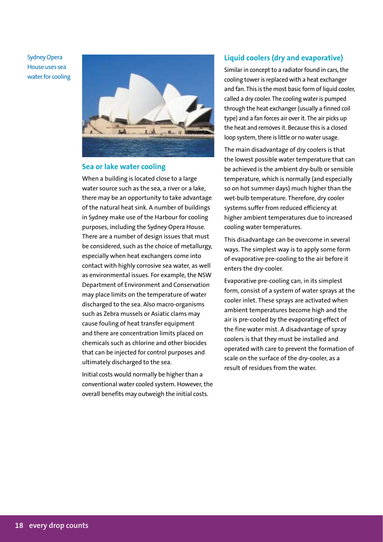Sydney Opera House uses sea water for cooling



### **Sea or lake water cooling**

When a building is located close to a large water source such as the sea, a river or a lake, there may be an opportunity to take advantage of the natural heat sink. A number of buildings in Sydney make use of the Harbour for cooling purposes, including the Sydney Opera House. There are a number of design issues that must be considered, such as the choice of metallurgy, especially when heat exchangers come into contact with highly corrosive sea water, as well as environmental issues. For example, the NSW Department of Environment and Conservation may place limits on the temperature of water discharged to the sea. Also macro-organisms such as Zebra mussels or Asiatic clams may cause fouling of heat transfer equipment and there are concentration limits placed on chemicals such as chlorine and other biocides that can be injected for control purposes and ultimately discharged to the sea.

Initial costs would normally be higher than a conventional water cooled system. However, the overall benefits may outweigh the initial costs.

#### **Liquid coolers (dry and evaporative)**

Similar in concept to a radiator found in cars, the cooling tower is replaced with a heat exchanger and fan. This is the most basic form of liquid cooler, called a dry cooler. The cooling water is pumped through the heat exchanger (usually a finned coil type) and a fan forces air over it. The air picks up the heat and removes it. Because this is a closed loop system, there is little or no water usage.

The main disadvantage of dry coolers is that the lowest possible water temperature that can be achieved is the ambient dry-bulb or sensible temperature, which is normally (and especially so on hot summer days) much higher than the wet-bulb temperature. Therefore, dry cooler systems suffer from reduced efficiency at higher ambient temperatures due to increased cooling water temperatures.

This disadvantage can be overcome in several ways. The simplest way is to apply some form of evaporative pre-cooling to the air before it enters the dry-cooler.

Evaporative pre-cooling can, in its simplest form, consist of a system of water sprays at the cooler inlet. These sprays are activated when ambient temperatures become high and the air is pre-cooled by the evaporating effect of the fine water mist. A disadvantage of spray coolers is that they must be installed and operated with care to prevent the formation of scale on the surface of the dry-cooler, as a result of residues from the water.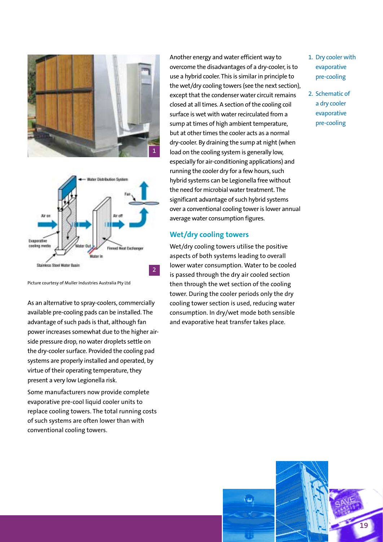



Picture courtesy of Muller Industries Australia Pty Ltd

As an alternative to spray-coolers, commercially available pre-cooling pads can be installed. The advantage of such pads is that, although fan power increases somewhat due to the higher airside pressure drop, no water droplets settle on the dry-cooler surface. Provided the cooling pad systems are properly installed and operated, by virtue of their operating temperature, they present a very low Legionella risk.

Some manufacturers now provide complete evaporative pre-cool liquid cooler units to replace cooling towers. The total running costs of such systems are often lower than with conventional cooling towers.

Another energy and water efficient way to overcome the disadvantages of a dry-cooler, is to use a hybrid cooler. This is similar in principle to the wet/dry cooling towers (see the next section), except that the condenser water circuit remains closed at all times. A section of the cooling coil surface is wet with water recirculated from a sump at times of high ambient temperature, but at other times the cooler acts as a normal dry-cooler. By draining the sump at night (when load on the cooling system is generally low, especially for air-conditioning applications) and running the cooler dry for a few hours, such hybrid systems can be Legionella free without the need for microbial water treatment. The significant advantage of such hybrid systems over a conventional cooling tower is lower annual average water consumption figures.

#### **Wet/dry cooling towers**

Wet/dry cooling towers utilise the positive aspects of both systems leading to overall lower water consumption. Water to be cooled is passed through the dry air cooled section then through the wet section of the cooling tower. During the cooler periods only the dry cooling tower section is used, reducing water consumption. In dry/wet mode both sensible and evaporative heat transfer takes place.

- 1. Dry cooler with evaporative pre-cooling
- 2. Schematic of a dry cooler evaporative pre-cooling

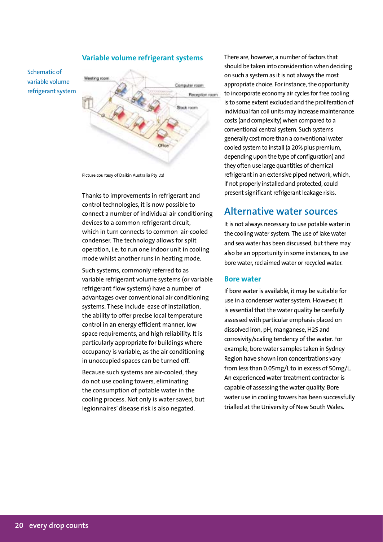

#### **Variable volume refrigerant systems**

Picture courtesy of Daikin Australia Pty Ltd

Thanks to improvements in refrigerant and control technologies, it is now possible to connect a number of individual air conditioning devices to a common refrigerant circuit, which in turn connects to common air-cooled condenser. The technology allows for split operation, i.e. to run one indoor unit in cooling mode whilst another runs in heating mode.

Such systems, commonly referred to as variable refrigerant volume systems (or variable refrigerant flow systems) have a number of advantages over conventional air conditioning systems. These include ease of installation, the ability to offer precise local temperature control in an energy efficient manner, low space requirements, and high reliability. It is particularly appropriate for buildings where occupancy is variable, as the air conditioning in unoccupied spaces can be turned off.

Because such systems are air-cooled, they do not use cooling towers, eliminating the consumption of potable water in the cooling process. Not only is water saved, but legionnaires' disease risk is also negated.

There are, however, a number of factors that should be taken into consideration when deciding on such a system as it is not always the most appropriate choice. For instance, the opportunity to incorporate economy air cycles for free cooling is to some extent excluded and the proliferation of individual fan coil units may increase maintenance costs (and complexity) when compared to a conventional central system. Such systems generally cost more than a conventional water cooled system to install (a 20% plus premium, depending upon the type of configuration) and they often use large quantities of chemical refrigerant in an extensive piped network, which, if not properly installed and protected, could present significant refrigerant leakage risks.

## **Alternative water sources**

It is not always necessary to use potable water in the cooling water system. The use of lake water and sea water has been discussed, but there may also be an opportunity in some instances, to use bore water, reclaimed water or recycled water.

#### **Bore water**

If bore water is available, it may be suitable for use in a condenser water system. However, it is essential that the water quality be carefully assessed with particular emphasis placed on dissolved iron, pH, manganese, H2S and corrosivity/scaling tendency of the water. For example, bore water samples taken in Sydney Region have shown iron concentrations vary from less than 0.05mg/L to in excess of 50mg/L. An experienced water treatment contractor is capable of assessing the water quality. Bore water use in cooling towers has been successfully trialled at the University of New South Wales.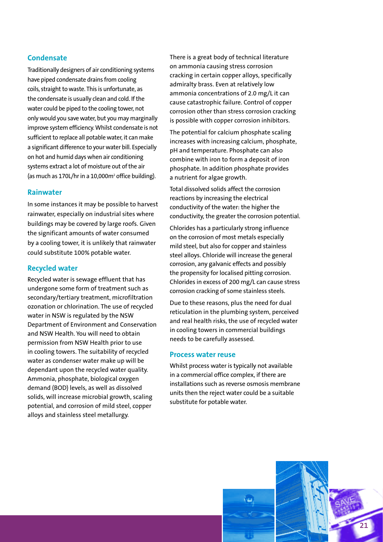### **Condensate**

Traditionally designers of air conditioning systems have piped condensate drains from cooling coils, straight to waste. This is unfortunate, as the condensate is usually clean and cold. If the water could be piped to the cooling tower, not only would you save water, but you may marginally improve system efficiency. Whilst condensate is not sufficient to replace all potable water, it can make a significant difference to your water bill. Especially on hot and humid days when air conditioning systems extract a lot of moisture out of the air (as much as 170L/hr in a 10,000m<sup>2</sup> office building).

#### **Rainwater**

In some instances it may be possible to harvest rainwater, especially on industrial sites where buildings may be covered by large roofs. Given the significant amounts of water consumed by a cooling tower, it is unlikely that rainwater could substitute 100% potable water.

#### **Recycled water**

Recycled water is sewage effluent that has undergone some form of treatment such as secondary/tertiary treatment, microfiltration ozonation or chlorination. The use of recycled water in NSW is regulated by the NSW Department of Environment and Conservation and NSW Health. You will need to obtain permission from NSW Health prior to use in cooling towers. The suitability of recycled water as condenser water make up will be dependant upon the recycled water quality. Ammonia, phosphate, biological oxygen demand (BOD) levels, as well as dissolved solids, will increase microbial growth, scaling potential, and corrosion of mild steel, copper alloys and stainless steel metallurgy.

There is a great body of technical literature on ammonia causing stress corrosion cracking in certain copper alloys, specifically admiralty brass. Even at relatively low ammonia concentrations of 2.0 mg/L it can cause catastrophic failure. Control of copper corrosion other than stress corrosion cracking is possible with copper corrosion inhibitors.

The potential for calcium phosphate scaling increases with increasing calcium, phosphate, pH and temperature. Phosphate can also combine with iron to form a deposit of iron phosphate. In addition phosphate provides a nutrient for algae growth.

Total dissolved solids affect the corrosion reactions by increasing the electrical conductivity of the water: the higher the conductivity, the greater the corrosion potential.

Chlorides has a particularly strong influence on the corrosion of most metals especially mild steel, but also for copper and stainless steel alloys. Chloride will increase the general corrosion, any galvanic effects and possibly the propensity for localised pitting corrosion. Chlorides in excess of 200 mg/L can cause stress corrosion cracking of some stainless steels.

Due to these reasons, plus the need for dual reticulation in the plumbing system, perceived and real health risks, the use of recycled water in cooling towers in commercial buildings needs to be carefully assessed.

#### **Process water reuse**

Whilst process water is typically not available in a commercial office complex, if there are installations such as reverse osmosis membrane units then the reject water could be a suitable substitute for potable water.

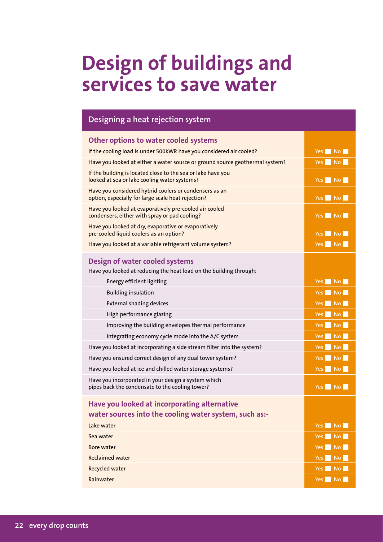# **Design of buildings and services to save water**

| Designing a heat rejection system                                                                            |                                          |
|--------------------------------------------------------------------------------------------------------------|------------------------------------------|
| Other options to water cooled systems                                                                        |                                          |
| If the cooling load is under 500kWR have you considered air cooled?                                          | Yes No                                   |
| Have you looked at either a water source or ground source geothermal system?                                 | Yes No                                   |
| If the building is located close to the sea or lake have you<br>looked at sea or lake cooling water systems? | Yes No                                   |
| Have you considered hybrid coolers or condensers as an<br>option, especially for large scale heat rejection? | $Yes \mid No \mid$                       |
| Have you looked at evaporatively pre-cooled air cooled<br>condensers, either with spray or pad cooling?      | $Yes$ No                                 |
| Have you looked at dry, evaporative or evaporatively<br>pre-cooled liquid coolers as an option?              | Yes No                                   |
| Have you looked at a variable refrigerant volume system?                                                     | Yes No                                   |
| Design of water cooled systems<br>Have you looked at reducing the heat load on the building through:         |                                          |
| Energy efficient lighting                                                                                    | Yes No                                   |
| <b>Building insulation</b>                                                                                   | Yes No                                   |
| <b>External shading devices</b>                                                                              | Yes  <br><b>No</b>                       |
| High performance glazing                                                                                     | Yes No                                   |
| Improving the building envelopes thermal performance                                                         | Yes No                                   |
| Integrating economy cycle mode into the A/C system                                                           | Yes  <br><b>No</b>                       |
| Have you looked at incorporating a side stream filter into the system?                                       | Yes No                                   |
| Have you ensured correct design of any dual tower system?                                                    | <b>No</b><br>Yes                         |
| Have you looked at ice and chilled water storage systems?                                                    | Yes No                                   |
| Have you incorporated in your design a system which<br>pipes back the condensate to the cooling tower?       | Yes No                                   |
| Have you looked at incorporating alternative<br>water sources into the cooling water system, such as:-       |                                          |
| Lake water                                                                                                   | Yes No                                   |
| Sea water                                                                                                    | $Yes \tN$                                |
| <b>Bore water</b>                                                                                            | $Yes \nightharpoonup No \nightharpoonup$ |
| <b>Reclaimed water</b>                                                                                       | No<br><b>Yes</b>                         |
| <b>Recycled water</b>                                                                                        | Yes No                                   |
| Rainwater                                                                                                    | $Yes \tN$                                |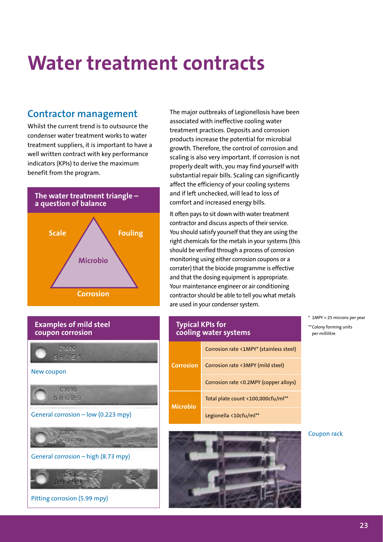# **Water treatment contracts**

## **Contractor management**

Whilst the current trend is to outsource the condenser water treatment works to water treatment suppliers, it is important to have a well written contract with key performance indicators (KPIs) to derive the maximum benefit from the program.





General corrosion – high (8.73 mpy)



The major outbreaks of Legionellosis have been associated with ineffective cooling water treatment practices. Deposits and corrosion products increase the potential for microbial growth. Therefore, the control of corrosion and scaling is also very important. If corrosion is not properly dealt with, you may find yourself with substantial repair bills. Scaling can significantly affect the efficiency of your cooling systems and if left unchecked, will lead to loss of comfort and increased energy bills.

It often pays to sit down with water treatment contractor and discuss aspects of their service. You should satisfy yourself that they are using the right chemicals for the metals in your systems (this should be verified through a process of corrosion monitoring using either corrosion coupons or a corrater) that the biocide programme is effective and that the dosing equipment is appropriate. Your maintenance engineer or air conditioning contractor should be able to tell you what metals are used in your condenser system.

Corrosion rate <1MPY\* (stainless steel) Corrosion rate <3MPY (mild steel) Corrosion rate <0.2MPY (copper alloys) Total plate count <100,000cfu/ml\*\* Legionella <10cfu/ml\*\* **Microbio Corrosion Typical KPIs for cooling water systems**



\* 1MPY = 25 microns per year \*\*Colony forming units per millilitre

#### Coupon rack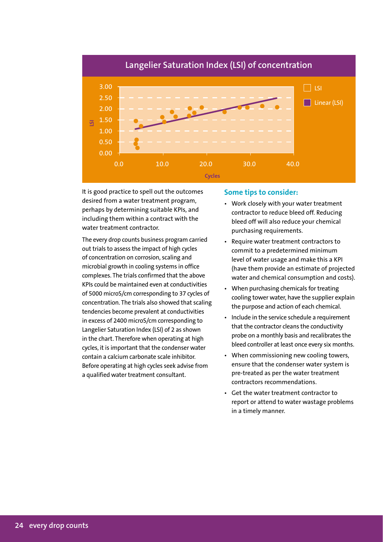

It is good practice to spell out the outcomes desired from a water treatment program, perhaps by determining suitable KPIs, and including them within a contract with the water treatment contractor.

The every drop counts business program carried out trials to assess the impact of high cycles of concentration on corrosion, scaling and microbial growth in cooling systems in office complexes. The trials confirmed that the above KPIs could be maintained even at conductivities of 5000 microS/cm corresponding to 37 cycles of concentration. The trials also showed that scaling tendencies become prevalent at conductivities in excess of 2400 microS/cm corresponding to Langelier Saturation Index (LSI) of 2 as shown in the chart. Therefore when operating at high cycles, it is important that the condenser water contain a calcium carbonate scale inhibitor. Before operating at high cycles seek advise from a qualified water treatment consultant.

### **Some tips to consider:**

- Work closely with your water treatment contractor to reduce bleed off. Reducing bleed off will also reduce your chemical purchasing requirements.
- Require water treatment contractors to commit to a predetermined minimum level of water usage and make this a KPI (have them provide an estimate of projected water and chemical consumption and costs).
- When purchasing chemicals for treating cooling tower water, have the supplier explain the purpose and action of each chemical.
- Include in the service schedule a requirement that the contractor cleans the conductivity probe on a monthly basis and recalibrates the bleed controller at least once every six months.
- When commissioning new cooling towers, ensure that the condenser water system is pre-treated as per the water treatment contractors recommendations.
- Get the water treatment contractor to report or attend to water wastage problems in a timely manner.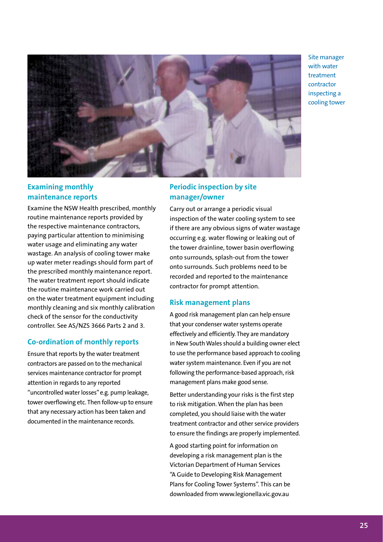Site manager with water treatment contractor inspecting a cooling tower



## **Examining monthly maintenance reports**

Examine the NSW Health prescribed, monthly routine maintenance reports provided by the respective maintenance contractors, paying particular attention to minimising water usage and eliminating any water wastage. An analysis of cooling tower make up water meter readings should form part of the prescribed monthly maintenance report. The water treatment report should indicate the routine maintenance work carried out on the water treatment equipment including monthly cleaning and six monthly calibration check of the sensor for the conductivity controller. See AS/NZS 3666 Parts 2 and 3.

#### **Co-ordination of monthly reports**

Ensure that reports by the water treatment contractors are passed on to the mechanical services maintenance contractor for prompt attention in regards to any reported "uncontrolled water losses" e.g. pump leakage, tower overflowing etc. Then follow-up to ensure that any necessary action has been taken and documented in the maintenance records.

## **Periodic inspection by site manager/owner**

Carry out or arrange a periodic visual inspection of the water cooling system to see if there are any obvious signs of water wastage occurring e.g. water flowing or leaking out of the tower drainline, tower basin overflowing onto surrounds, splash-out from the tower onto surrounds. Such problems need to be recorded and reported to the maintenance contractor for prompt attention.

#### **Risk management plans**

A good risk management plan can help ensure that your condenser water systems operate effectively and efficiently. They are mandatory in New South Wales should a building owner elect to use the performance based approach to cooling water system maintenance. Even if you are not following the performance-based approach, risk management plans make good sense.

Better understanding your risks is the first step to risk mitigation. When the plan has been completed, you should liaise with the water treatment contractor and other service providers to ensure the findings are properly implemented.

A good starting point for information on developing a risk management plan is the Victorian Department of Human Services "A Guide to Developing Risk Management Plans for Cooling Tower Systems". This can be downloaded from www.legionella.vic.gov.au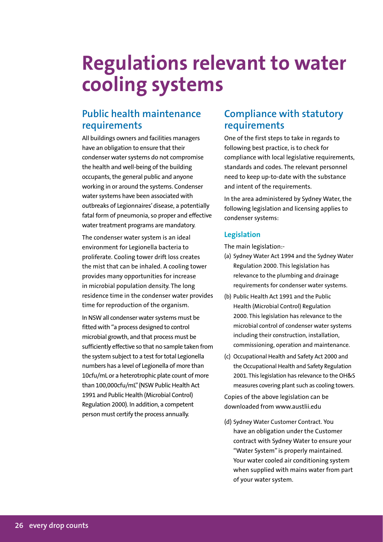# **Regulations relevant to water cooling systems**

## **Public health maintenance requirements**

All buildings owners and facilities managers have an obligation to ensure that their condenser water systems do not compromise the health and well-being of the building occupants, the general public and anyone working in or around the systems. Condenser water systems have been associated with outbreaks of Legionnaires' disease, a potentially fatal form of pneumonia, so proper and effective water treatment programs are mandatory.

The condenser water system is an ideal environment for Legionella bacteria to proliferate. Cooling tower drift loss creates the mist that can be inhaled. A cooling tower provides many opportunities for increase in microbial population density. The long residence time in the condenser water provides time for reproduction of the organism.

In NSW all condenser water systems must be fitted with "a process designed to control microbial growth, and that process must be sufficiently effective so that no sample taken from the system subject to a test for total Legionella numbers has a level of Legionella of more than 10cfu/mL or a heterotrophic plate count of more than 100,000cfu/mL"(NSW Public Health Act 1991 and Public Health (Microbial Control) Regulation 2000). In addition, a competent person must certify the process annually.

## **Compliance with statutory requirements**

One of the first steps to take in regards to following best practice, is to check for compliance with local legislative requirements, standards and codes. The relevant personnel need to keep up-to-date with the substance and intent of the requirements.

In the area administered by Sydney Water, the following legislation and licensing applies to condenser systems:

### **Legislation**

The main legislation:-

- (a) Sydney Water Act 1994 and the Sydney Water Regulation 2000. This legislation has relevance to the plumbing and drainage requirements for condenser water systems.
- (b) Public Health Act 1991 and the Public Health (Microbial Control) Regulation 2000. This legislation has relevance to the microbial control of condenser water systems including their construction, installation, commissioning, operation and maintenance.
- (c) Occupational Health and Safety Act 2000 and the Occupational Health and Safety Regulation 2001. This legislation has relevance to the OH&S measures covering plant such as cooling towers.

Copies of the above legislation can be downloaded from www.austlii.edu

(d) Sydney Water Customer Contract. You have an obligation under the Customer contract with Sydney Water to ensure your "Water System" is properly maintained. Your water cooled air conditioning system when supplied with mains water from part of your water system.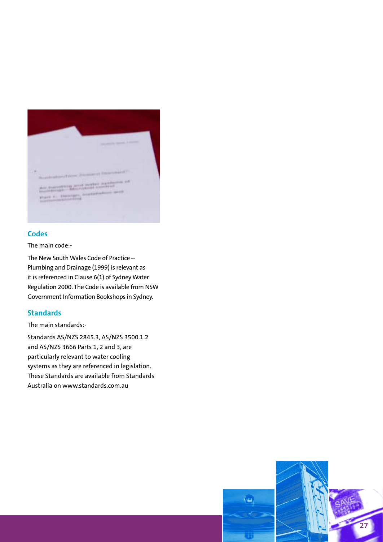

### **Codes**

The main code:-

The New South Wales Code of Practice – Plumbing and Drainage (1999) is relevant as it is referenced in Clause 6(1) of Sydney Water Regulation 2000. The Code is available from NSW Government Information Bookshops in Sydney.

### **Standards**

The main standards:-

Standards AS/NZS 2845.3, AS/NZS 3500.1.2 and AS/NZS 3666 Parts 1, 2 and 3, are particularly relevant to water cooling systems as they are referenced in legislation. These Standards are available from Standards Australia on www.standards.com.au

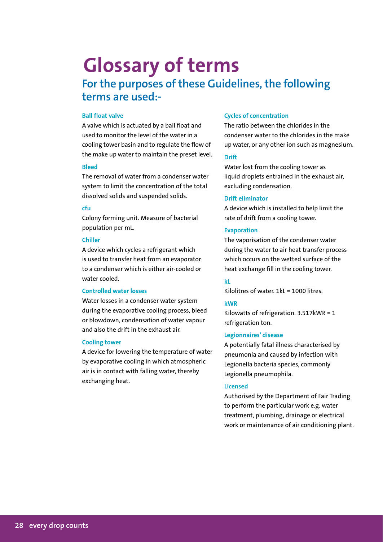# **Glossary of terms**

# **For the purposes of these Guidelines, the following terms are used:-**

#### **Ball float valve**

A valve which is actuated by a ball float and used to monitor the level of the water in a cooling tower basin and to regulate the flow of the make up water to maintain the preset level.

#### **Bleed**

The removal of water from a condenser water system to limit the concentration of the total dissolved solids and suspended solids.

#### **cfu**

Colony forming unit. Measure of bacterial population per mL.

#### **Chiller**

A device which cycles a refrigerant which is used to transfer heat from an evaporator to a condenser which is either air-cooled or water cooled.

#### **Controlled water losses**

Water losses in a condenser water system during the evaporative cooling process, bleed or blowdown, condensation of water vapour and also the drift in the exhaust air.

#### **Cooling tower**

A device for lowering the temperature of water by evaporative cooling in which atmospheric air is in contact with falling water, thereby exchanging heat.

#### **Cycles of concentration**

The ratio between the chlorides in the condenser water to the chlorides in the make up water, or any other ion such as magnesium.

#### **Drift**

Water lost from the cooling tower as liquid droplets entrained in the exhaust air, excluding condensation.

#### **Drift eliminator**

A device which is installed to help limit the rate of drift from a cooling tower.

#### **Evaporation**

The vaporisation of the condenser water during the water to air heat transfer process which occurs on the wetted surface of the heat exchange fill in the cooling tower.

### **kL**

Kilolitres of water.  $1k = 1000$  litres.

#### **kWR**

Kilowatts of refrigeration. 3.517kWR = 1 refrigeration ton.

#### **Legionnaires' disease**

A potentially fatal illness characterised by pneumonia and caused by infection with Legionella bacteria species, commonly Legionella pneumophila.

#### **Licensed**

Authorised by the Department of Fair Trading to perform the particular work e.g. water treatment, plumbing, drainage or electrical work or maintenance of air conditioning plant.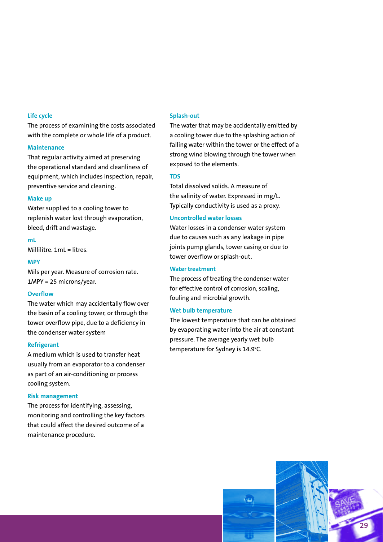#### **Life cycle**

The process of examining the costs associated with the complete or whole life of a product.

#### **Maintenance**

That regular activity aimed at preserving the operational standard and cleanliness of equipment, which includes inspection, repair, preventive service and cleaning.

#### **Make up**

Water supplied to a cooling tower to replenish water lost through evaporation, bleed, drift and wastage.

**mL**

Millilitre. 1mL = litres.

#### **MPY**

Mils per year. Measure of corrosion rate. 1MPY = 25 microns/year.

#### **Overflow**

The water which may accidentally flow over the basin of a cooling tower, or through the tower overflow pipe, due to a deficiency in the condenser water system

#### **Refrigerant**

A medium which is used to transfer heat usually from an evaporator to a condenser as part of an air-conditioning or process cooling system.

#### **Risk management**

The process for identifying, assessing, monitoring and controlling the key factors that could affect the desired outcome of a maintenance procedure.

#### **Splash-out**

The water that may be accidentally emitted by a cooling tower due to the splashing action of falling water within the tower or the effect of a strong wind blowing through the tower when exposed to the elements.

#### **TDS**

Total dissolved solids. A measure of the salinity of water. Expressed in mg/L. Typically conductivity is used as a proxy.

#### **Uncontrolled water losses**

Water losses in a condenser water system due to causes such as any leakage in pipe joints pump glands, tower casing or due to tower overflow or splash-out.

#### **Water treatment**

The process of treating the condenser water for effective control of corrosion, scaling, fouling and microbial growth.

#### **Wet bulb temperature**

The lowest temperature that can be obtained by evaporating water into the air at constant pressure. The average yearly wet bulb temperature for Sydney is 14.9°C.